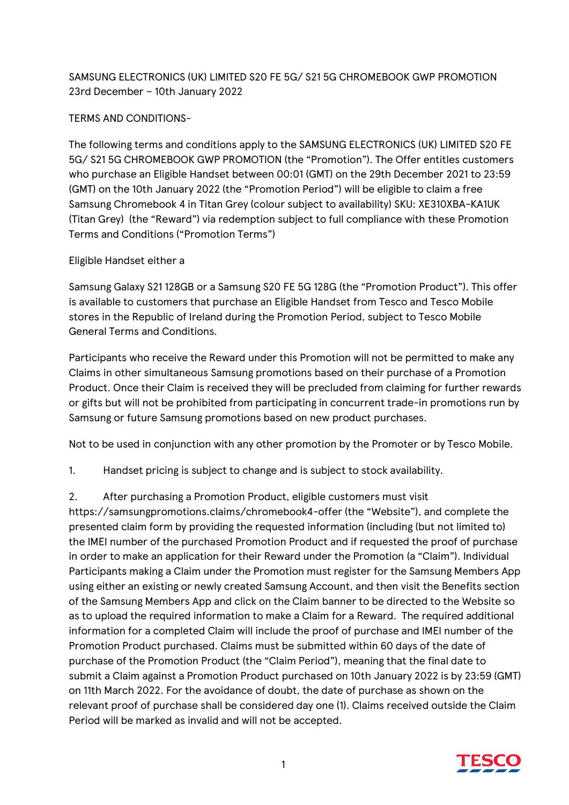## SAMSUNG ELECTRONICS (UK) LIMITED S20 FE 5G/ S21 5G CHROMEBOOK GWP PROMOTION 23rd December – 10th January 2022

## TERMS AND CONDITIONS-

The following terms and conditions apply to the SAMSUNG ELECTRONICS (UK) LIMITED S20 FE 5G/ S21 5G CHROMEBOOK GWP PROMOTION (the "Promotion"). The Offer entitles customers who purchase an Eligible Handset between 00:01 (GMT) on the 29th December 2021 to 23:59 (GMT) on the 10th January 2022 (the "Promotion Period") will be eligible to claim a free Samsung Chromebook 4 in Titan Grey (colour subject to availability) SKU: XE310XBA-KA1UK (Titan Grey) (the "Reward") via redemption subject to full compliance with these Promotion Terms and Conditions ("Promotion Terms")

## Eligible Handset either a

Samsung Galaxy S21 128GB or a Samsung S20 FE 5G 128G (the "Promotion Product"). This offer is available to customers that purchase an Eligible Handset from Tesco and Tesco Mobile stores in the Republic of Ireland during the Promotion Period, subject to Tesco Mobile General Terms and Conditions.

Participants who receive the Reward under this Promotion will not be permitted to make any Claims in other simultaneous Samsung promotions based on their purchase of a Promotion Product. Once their Claim is received they will be precluded from claiming for further rewards or gifts but will not be prohibited from participating in concurrent trade-in promotions run by Samsung or future Samsung promotions based on new product purchases.

Not to be used in conjunction with any other promotion by the Promoter or by Tesco Mobile.

1. Handset pricing is subject to change and is subject to stock availability.

## 2. After purchasing a Promotion Product, eligible customers must visit

https://samsungpromotions.claims/chromebook4-offer (the "Website"), and complete the presented claim form by providing the requested information (including (but not limited to) the IMEI number of the purchased Promotion Product and if requested the proof of purchase in order to make an application for their Reward under the Promotion (a "Claim"). Individual Participants making a Claim under the Promotion must register for the Samsung Members App using either an existing or newly created Samsung Account, and then visit the Benefits section of the Samsung Members App and click on the Claim banner to be directed to the Website so as to upload the required information to make a Claim for a Reward. The required additional information for a completed Claim will include the proof of purchase and IMEI number of the Promotion Product purchased. Claims must be submitted within 60 days of the date of purchase of the Promotion Product (the "Claim Period"), meaning that the final date to submit a Claim against a Promotion Product purchased on 10th January 2022 is by 23:59 (GMT) on 11th March 2022. For the avoidance of doubt, the date of purchase as shown on the relevant proof of purchase shall be considered day one (1). Claims received outside the Claim Period will be marked as invalid and will not be accepted.